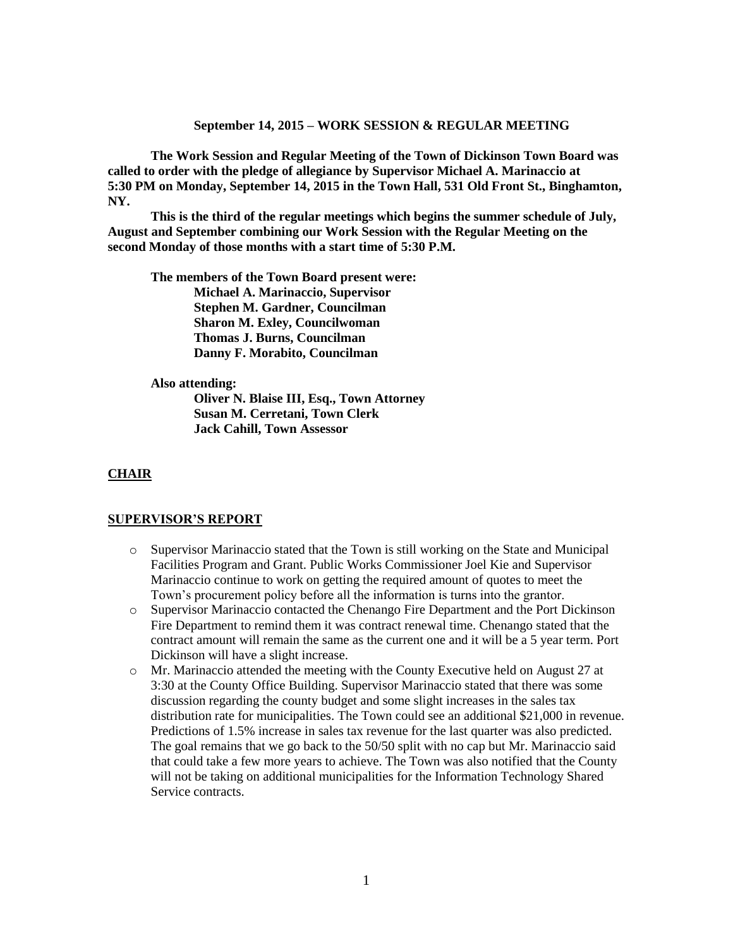#### **September 14, 2015 – WORK SESSION & REGULAR MEETING**

**The Work Session and Regular Meeting of the Town of Dickinson Town Board was called to order with the pledge of allegiance by Supervisor Michael A. Marinaccio at 5:30 PM on Monday, September 14, 2015 in the Town Hall, 531 Old Front St., Binghamton, NY.** 

**This is the third of the regular meetings which begins the summer schedule of July, August and September combining our Work Session with the Regular Meeting on the second Monday of those months with a start time of 5:30 P.M.**

**The members of the Town Board present were: Michael A. Marinaccio, Supervisor Stephen M. Gardner, Councilman Sharon M. Exley, Councilwoman Thomas J. Burns, Councilman Danny F. Morabito, Councilman**

#### **Also attending:**

**Oliver N. Blaise III, Esq., Town Attorney Susan M. Cerretani, Town Clerk Jack Cahill, Town Assessor**

## **CHAIR**

#### **SUPERVISOR'S REPORT**

- o Supervisor Marinaccio stated that the Town is still working on the State and Municipal Facilities Program and Grant. Public Works Commissioner Joel Kie and Supervisor Marinaccio continue to work on getting the required amount of quotes to meet the Town's procurement policy before all the information is turns into the grantor.
- o Supervisor Marinaccio contacted the Chenango Fire Department and the Port Dickinson Fire Department to remind them it was contract renewal time. Chenango stated that the contract amount will remain the same as the current one and it will be a 5 year term. Port Dickinson will have a slight increase.
- o Mr. Marinaccio attended the meeting with the County Executive held on August 27 at 3:30 at the County Office Building. Supervisor Marinaccio stated that there was some discussion regarding the county budget and some slight increases in the sales tax distribution rate for municipalities. The Town could see an additional \$21,000 in revenue. Predictions of 1.5% increase in sales tax revenue for the last quarter was also predicted. The goal remains that we go back to the 50/50 split with no cap but Mr. Marinaccio said that could take a few more years to achieve. The Town was also notified that the County will not be taking on additional municipalities for the Information Technology Shared Service contracts.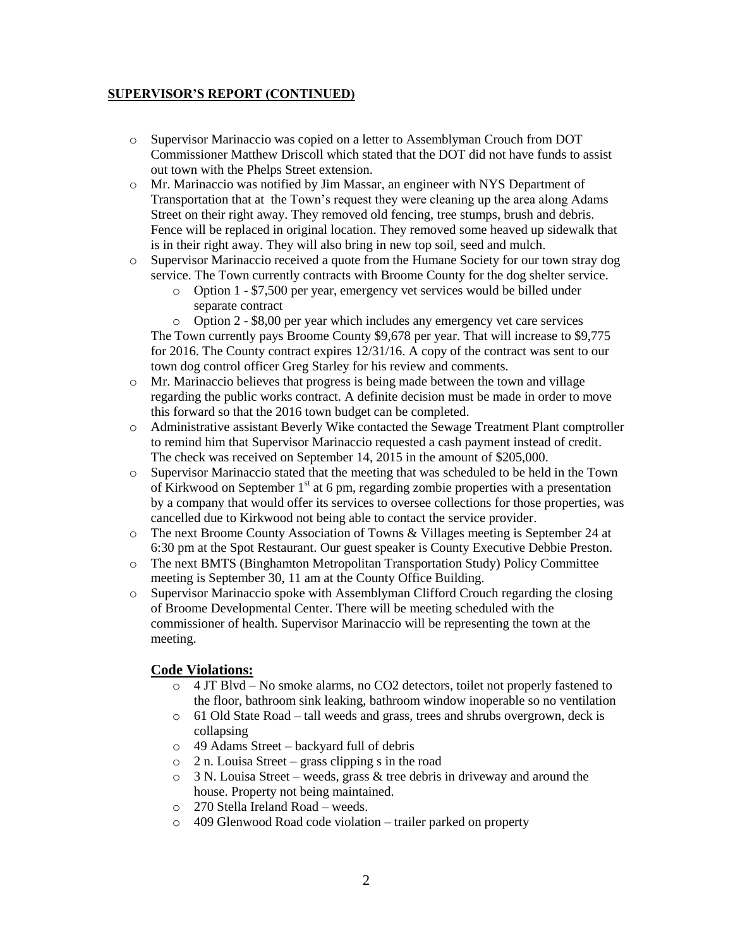# **SUPERVISOR'S REPORT (CONTINUED)**

- o Supervisor Marinaccio was copied on a letter to Assemblyman Crouch from DOT Commissioner Matthew Driscoll which stated that the DOT did not have funds to assist out town with the Phelps Street extension.
- o Mr. Marinaccio was notified by Jim Massar, an engineer with NYS Department of Transportation that at the Town's request they were cleaning up the area along Adams Street on their right away. They removed old fencing, tree stumps, brush and debris. Fence will be replaced in original location. They removed some heaved up sidewalk that is in their right away. They will also bring in new top soil, seed and mulch.
- o Supervisor Marinaccio received a quote from the Humane Society for our town stray dog service. The Town currently contracts with Broome County for the dog shelter service.
	- o Option 1 \$7,500 per year, emergency vet services would be billed under separate contract

o Option 2 - \$8,00 per year which includes any emergency vet care services The Town currently pays Broome County \$9,678 per year. That will increase to \$9,775 for 2016. The County contract expires 12/31/16. A copy of the contract was sent to our town dog control officer Greg Starley for his review and comments.

- o Mr. Marinaccio believes that progress is being made between the town and village regarding the public works contract. A definite decision must be made in order to move this forward so that the 2016 town budget can be completed.
- o Administrative assistant Beverly Wike contacted the Sewage Treatment Plant comptroller to remind him that Supervisor Marinaccio requested a cash payment instead of credit. The check was received on September 14, 2015 in the amount of \$205,000.
- o Supervisor Marinaccio stated that the meeting that was scheduled to be held in the Town of Kirkwood on September  $1<sup>st</sup>$  at 6 pm, regarding zombie properties with a presentation by a company that would offer its services to oversee collections for those properties, was cancelled due to Kirkwood not being able to contact the service provider.
- o The next Broome County Association of Towns & Villages meeting is September 24 at 6:30 pm at the Spot Restaurant. Our guest speaker is County Executive Debbie Preston.
- o The next BMTS (Binghamton Metropolitan Transportation Study) Policy Committee meeting is September 30, 11 am at the County Office Building.
- o Supervisor Marinaccio spoke with Assemblyman Clifford Crouch regarding the closing of Broome Developmental Center. There will be meeting scheduled with the commissioner of health. Supervisor Marinaccio will be representing the town at the meeting.

# **Code Violations:**

- $\circ$  4 JT Blvd No smoke alarms, no CO2 detectors, toilet not properly fastened to the floor, bathroom sink leaking, bathroom window inoperable so no ventilation
- o 61 Old State Road tall weeds and grass, trees and shrubs overgrown, deck is collapsing
- o 49 Adams Street backyard full of debris
- $\circ$  2 n. Louisa Street grass clipping s in the road
- o 3 N. Louisa Street weeds, grass & tree debris in driveway and around the house. Property not being maintained.
- o 270 Stella Ireland Road weeds.
- o 409 Glenwood Road code violation trailer parked on property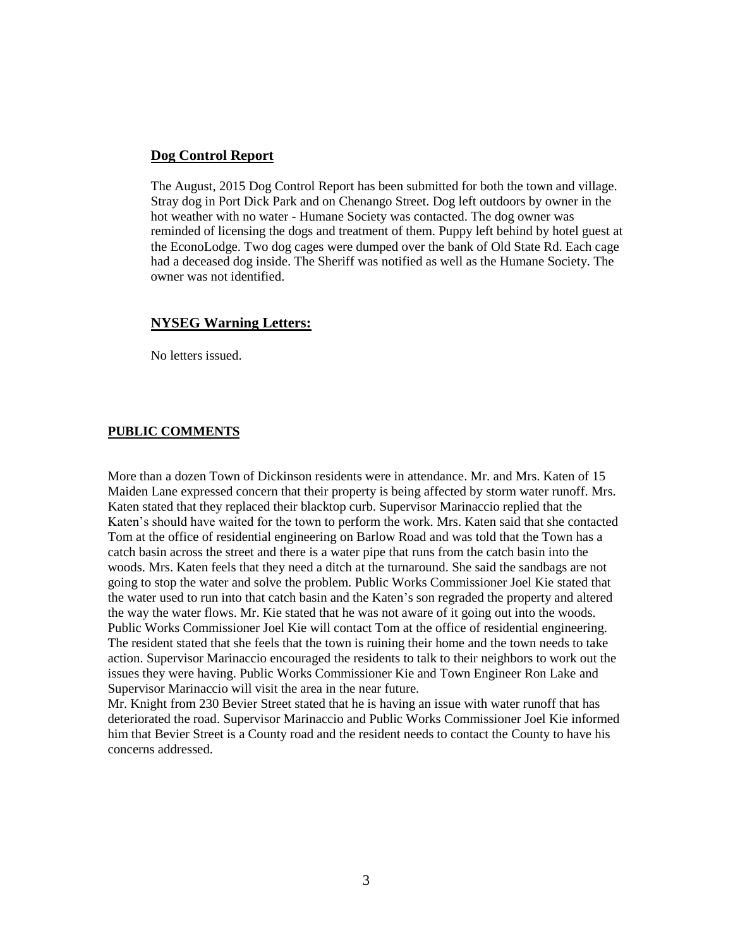### **Dog Control Report**

The August, 2015 Dog Control Report has been submitted for both the town and village. Stray dog in Port Dick Park and on Chenango Street. Dog left outdoors by owner in the hot weather with no water - Humane Society was contacted. The dog owner was reminded of licensing the dogs and treatment of them. Puppy left behind by hotel guest at the EconoLodge. Two dog cages were dumped over the bank of Old State Rd. Each cage had a deceased dog inside. The Sheriff was notified as well as the Humane Society. The owner was not identified.

### **NYSEG Warning Letters:**

No letters issued.

### **PUBLIC COMMENTS**

More than a dozen Town of Dickinson residents were in attendance. Mr. and Mrs. Katen of 15 Maiden Lane expressed concern that their property is being affected by storm water runoff. Mrs. Katen stated that they replaced their blacktop curb. Supervisor Marinaccio replied that the Katen's should have waited for the town to perform the work. Mrs. Katen said that she contacted Tom at the office of residential engineering on Barlow Road and was told that the Town has a catch basin across the street and there is a water pipe that runs from the catch basin into the woods. Mrs. Katen feels that they need a ditch at the turnaround. She said the sandbags are not going to stop the water and solve the problem. Public Works Commissioner Joel Kie stated that the water used to run into that catch basin and the Katen's son regraded the property and altered the way the water flows. Mr. Kie stated that he was not aware of it going out into the woods. Public Works Commissioner Joel Kie will contact Tom at the office of residential engineering. The resident stated that she feels that the town is ruining their home and the town needs to take action. Supervisor Marinaccio encouraged the residents to talk to their neighbors to work out the issues they were having. Public Works Commissioner Kie and Town Engineer Ron Lake and Supervisor Marinaccio will visit the area in the near future.

Mr. Knight from 230 Bevier Street stated that he is having an issue with water runoff that has deteriorated the road. Supervisor Marinaccio and Public Works Commissioner Joel Kie informed him that Bevier Street is a County road and the resident needs to contact the County to have his concerns addressed.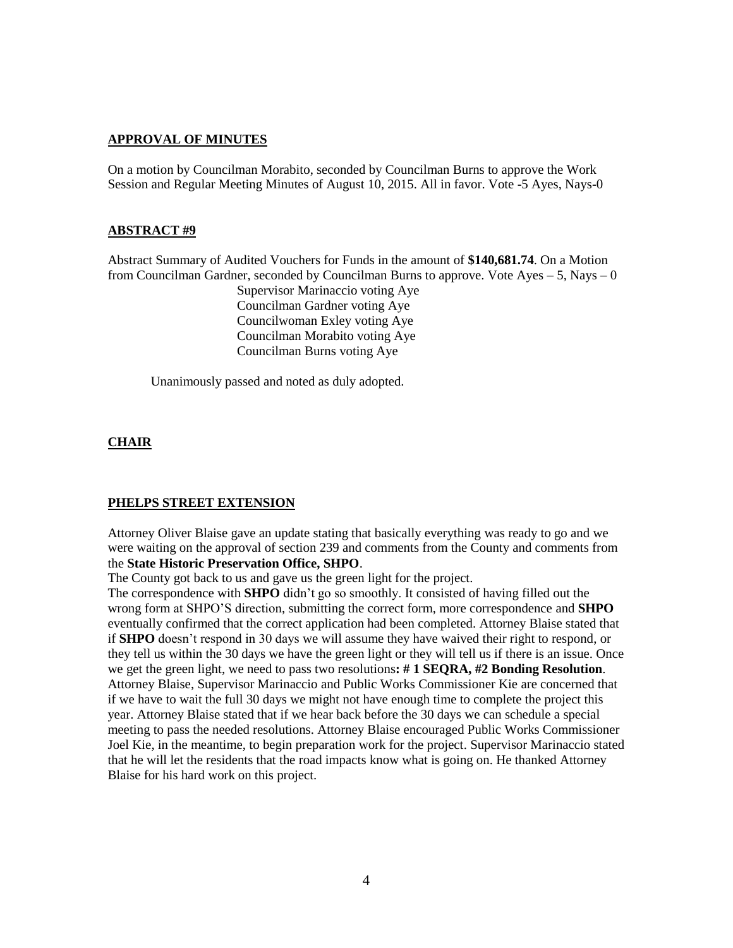### **APPROVAL OF MINUTES**

On a motion by Councilman Morabito, seconded by Councilman Burns to approve the Work Session and Regular Meeting Minutes of August 10, 2015. All in favor. Vote -5 Ayes, Nays-0

#### **ABSTRACT #9**

Abstract Summary of Audited Vouchers for Funds in the amount of **\$140,681.74**. On a Motion from Councilman Gardner, seconded by Councilman Burns to approve. Vote Ayes  $-5$ , Nays  $-0$ 

Supervisor Marinaccio voting Aye Councilman Gardner voting Aye Councilwoman Exley voting Aye Councilman Morabito voting Aye Councilman Burns voting Aye

Unanimously passed and noted as duly adopted.

### **CHAIR**

#### **PHELPS STREET EXTENSION**

Attorney Oliver Blaise gave an update stating that basically everything was ready to go and we were waiting on the approval of section 239 and comments from the County and comments from the **State Historic Preservation Office, SHPO**.

The County got back to us and gave us the green light for the project.

The correspondence with **SHPO** didn't go so smoothly. It consisted of having filled out the wrong form at SHPO'S direction, submitting the correct form, more correspondence and **SHPO** eventually confirmed that the correct application had been completed. Attorney Blaise stated that if **SHPO** doesn't respond in 30 days we will assume they have waived their right to respond, or they tell us within the 30 days we have the green light or they will tell us if there is an issue. Once we get the green light, we need to pass two resolutions**: # 1 SEQRA, #2 Bonding Resolution**. Attorney Blaise, Supervisor Marinaccio and Public Works Commissioner Kie are concerned that if we have to wait the full 30 days we might not have enough time to complete the project this year. Attorney Blaise stated that if we hear back before the 30 days we can schedule a special meeting to pass the needed resolutions. Attorney Blaise encouraged Public Works Commissioner Joel Kie, in the meantime, to begin preparation work for the project. Supervisor Marinaccio stated that he will let the residents that the road impacts know what is going on. He thanked Attorney Blaise for his hard work on this project.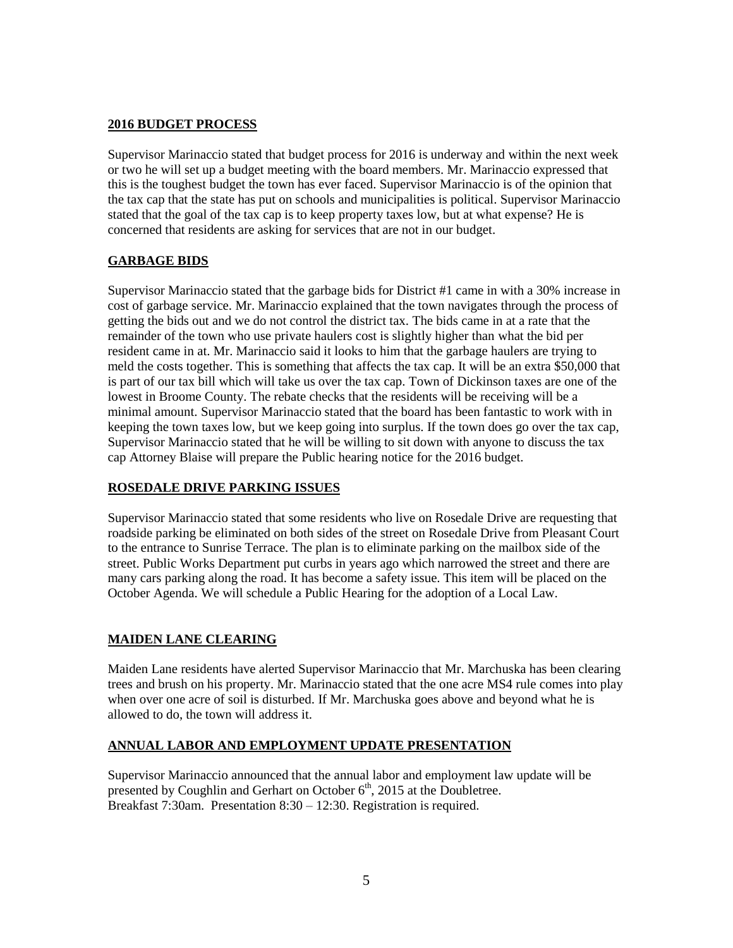# **2016 BUDGET PROCESS**

Supervisor Marinaccio stated that budget process for 2016 is underway and within the next week or two he will set up a budget meeting with the board members. Mr. Marinaccio expressed that this is the toughest budget the town has ever faced. Supervisor Marinaccio is of the opinion that the tax cap that the state has put on schools and municipalities is political. Supervisor Marinaccio stated that the goal of the tax cap is to keep property taxes low, but at what expense? He is concerned that residents are asking for services that are not in our budget.

# **GARBAGE BIDS**

Supervisor Marinaccio stated that the garbage bids for District #1 came in with a 30% increase in cost of garbage service. Mr. Marinaccio explained that the town navigates through the process of getting the bids out and we do not control the district tax. The bids came in at a rate that the remainder of the town who use private haulers cost is slightly higher than what the bid per resident came in at. Mr. Marinaccio said it looks to him that the garbage haulers are trying to meld the costs together. This is something that affects the tax cap. It will be an extra \$50,000 that is part of our tax bill which will take us over the tax cap. Town of Dickinson taxes are one of the lowest in Broome County. The rebate checks that the residents will be receiving will be a minimal amount. Supervisor Marinaccio stated that the board has been fantastic to work with in keeping the town taxes low, but we keep going into surplus. If the town does go over the tax cap, Supervisor Marinaccio stated that he will be willing to sit down with anyone to discuss the tax cap Attorney Blaise will prepare the Public hearing notice for the 2016 budget.

# **ROSEDALE DRIVE PARKING ISSUES**

Supervisor Marinaccio stated that some residents who live on Rosedale Drive are requesting that roadside parking be eliminated on both sides of the street on Rosedale Drive from Pleasant Court to the entrance to Sunrise Terrace. The plan is to eliminate parking on the mailbox side of the street. Public Works Department put curbs in years ago which narrowed the street and there are many cars parking along the road. It has become a safety issue. This item will be placed on the October Agenda. We will schedule a Public Hearing for the adoption of a Local Law.

# **MAIDEN LANE CLEARING**

Maiden Lane residents have alerted Supervisor Marinaccio that Mr. Marchuska has been clearing trees and brush on his property. Mr. Marinaccio stated that the one acre MS4 rule comes into play when over one acre of soil is disturbed. If Mr. Marchuska goes above and beyond what he is allowed to do, the town will address it.

# **ANNUAL LABOR AND EMPLOYMENT UPDATE PRESENTATION**

Supervisor Marinaccio announced that the annual labor and employment law update will be presented by Coughlin and Gerhart on October  $6<sup>th</sup>$ , 2015 at the Doubletree. Breakfast 7:30am. Presentation 8:30 – 12:30. Registration is required.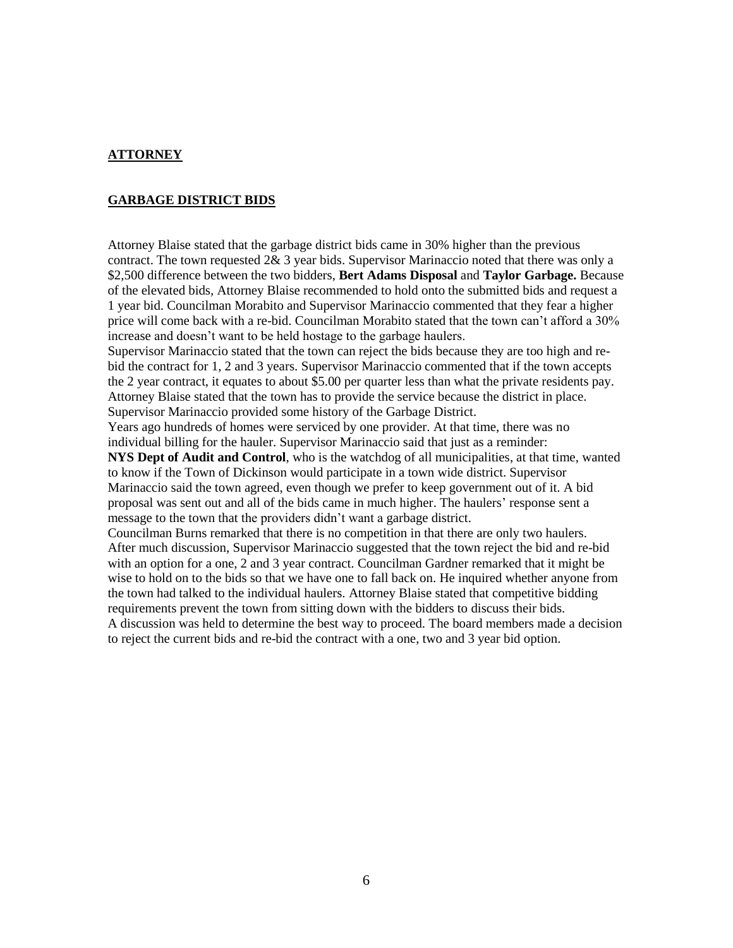## **ATTORNEY**

### **GARBAGE DISTRICT BIDS**

Attorney Blaise stated that the garbage district bids came in 30% higher than the previous contract. The town requested 2& 3 year bids. Supervisor Marinaccio noted that there was only a \$2,500 difference between the two bidders, **Bert Adams Disposal** and **Taylor Garbage.** Because of the elevated bids, Attorney Blaise recommended to hold onto the submitted bids and request a 1 year bid. Councilman Morabito and Supervisor Marinaccio commented that they fear a higher price will come back with a re-bid. Councilman Morabito stated that the town can't afford a 30% increase and doesn't want to be held hostage to the garbage haulers.

Supervisor Marinaccio stated that the town can reject the bids because they are too high and rebid the contract for 1, 2 and 3 years. Supervisor Marinaccio commented that if the town accepts the 2 year contract, it equates to about \$5.00 per quarter less than what the private residents pay. Attorney Blaise stated that the town has to provide the service because the district in place. Supervisor Marinaccio provided some history of the Garbage District.

Years ago hundreds of homes were serviced by one provider. At that time, there was no individual billing for the hauler. Supervisor Marinaccio said that just as a reminder:

**NYS Dept of Audit and Control**, who is the watchdog of all municipalities, at that time, wanted to know if the Town of Dickinson would participate in a town wide district. Supervisor Marinaccio said the town agreed, even though we prefer to keep government out of it. A bid proposal was sent out and all of the bids came in much higher. The haulers' response sent a message to the town that the providers didn't want a garbage district.

Councilman Burns remarked that there is no competition in that there are only two haulers. After much discussion, Supervisor Marinaccio suggested that the town reject the bid and re-bid with an option for a one, 2 and 3 year contract. Councilman Gardner remarked that it might be wise to hold on to the bids so that we have one to fall back on. He inquired whether anyone from the town had talked to the individual haulers. Attorney Blaise stated that competitive bidding requirements prevent the town from sitting down with the bidders to discuss their bids. A discussion was held to determine the best way to proceed. The board members made a decision to reject the current bids and re-bid the contract with a one, two and 3 year bid option.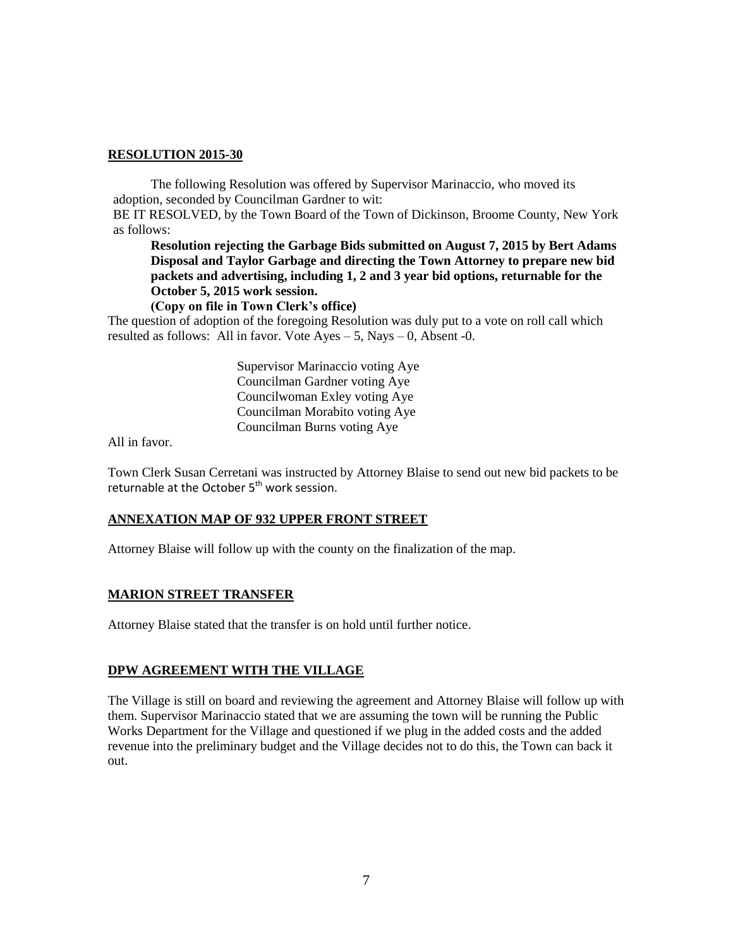The following Resolution was offered by Supervisor Marinaccio, who moved its adoption, seconded by Councilman Gardner to wit:

BE IT RESOLVED, by the Town Board of the Town of Dickinson, Broome County, New York as follows:

**Resolution rejecting the Garbage Bids submitted on August 7, 2015 by Bert Adams Disposal and Taylor Garbage and directing the Town Attorney to prepare new bid packets and advertising, including 1, 2 and 3 year bid options, returnable for the October 5, 2015 work session.**

**(Copy on file in Town Clerk's office)**

The question of adoption of the foregoing Resolution was duly put to a vote on roll call which resulted as follows: All in favor. Vote  $Ayes - 5$ , Nays  $- 0$ , Absent -0.

> Supervisor Marinaccio voting Aye Councilman Gardner voting Aye Councilwoman Exley voting Aye Councilman Morabito voting Aye Councilman Burns voting Aye

All in favor.

Town Clerk Susan Cerretani was instructed by Attorney Blaise to send out new bid packets to be returnable at the October 5<sup>th</sup> work session.

# **ANNEXATION MAP OF 932 UPPER FRONT STREET**

Attorney Blaise will follow up with the county on the finalization of the map.

# **MARION STREET TRANSFER**

Attorney Blaise stated that the transfer is on hold until further notice.

# **DPW AGREEMENT WITH THE VILLAGE**

The Village is still on board and reviewing the agreement and Attorney Blaise will follow up with them. Supervisor Marinaccio stated that we are assuming the town will be running the Public Works Department for the Village and questioned if we plug in the added costs and the added revenue into the preliminary budget and the Village decides not to do this, the Town can back it out.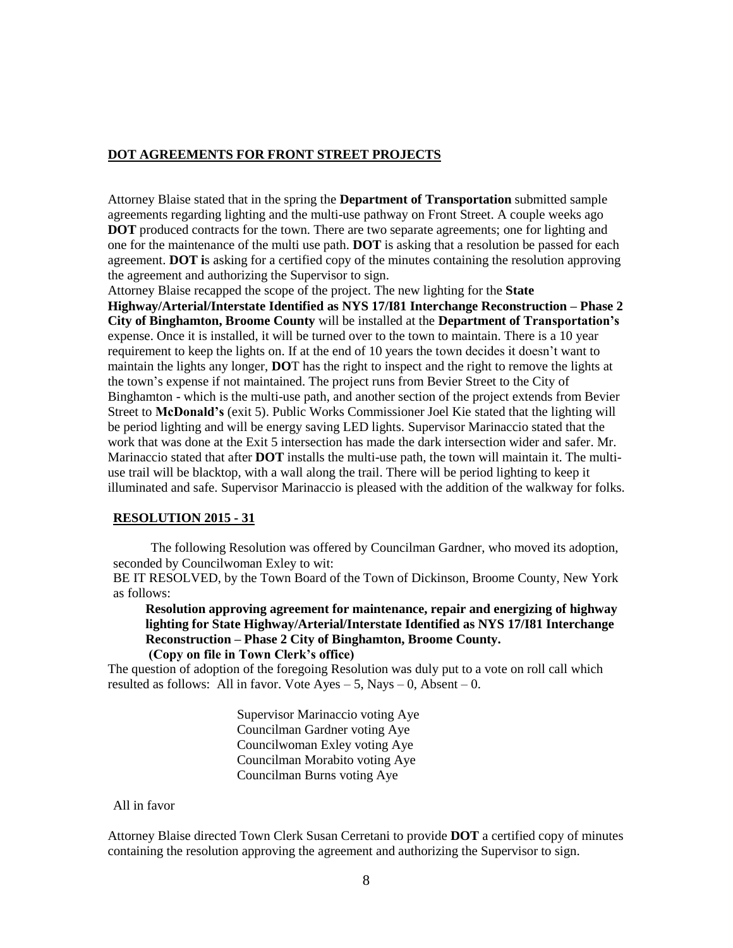### **DOT AGREEMENTS FOR FRONT STREET PROJECTS**

Attorney Blaise stated that in the spring the **Department of Transportation** submitted sample agreements regarding lighting and the multi-use pathway on Front Street. A couple weeks ago **DOT** produced contracts for the town. There are two separate agreements; one for lighting and one for the maintenance of the multi use path. **DOT** is asking that a resolution be passed for each agreement. **DOT i**s asking for a certified copy of the minutes containing the resolution approving the agreement and authorizing the Supervisor to sign.

Attorney Blaise recapped the scope of the project. The new lighting for the **State Highway/Arterial/Interstate Identified as NYS 17/I81 Interchange Reconstruction – Phase 2 City of Binghamton, Broome County** will be installed at the **Department of Transportation's** expense. Once it is installed, it will be turned over to the town to maintain. There is a 10 year requirement to keep the lights on. If at the end of 10 years the town decides it doesn't want to maintain the lights any longer, **DO**T has the right to inspect and the right to remove the lights at the town's expense if not maintained. The project runs from Bevier Street to the City of Binghamton - which is the multi-use path, and another section of the project extends from Bevier Street to **McDonald's** (exit 5). Public Works Commissioner Joel Kie stated that the lighting will be period lighting and will be energy saving LED lights. Supervisor Marinaccio stated that the work that was done at the Exit 5 intersection has made the dark intersection wider and safer. Mr. Marinaccio stated that after **DOT** installs the multi-use path, the town will maintain it. The multiuse trail will be blacktop, with a wall along the trail. There will be period lighting to keep it illuminated and safe. Supervisor Marinaccio is pleased with the addition of the walkway for folks.

#### **RESOLUTION 2015 - 31**

The following Resolution was offered by Councilman Gardner, who moved its adoption, seconded by Councilwoman Exley to wit:

BE IT RESOLVED, by the Town Board of the Town of Dickinson, Broome County, New York as follows:

**Resolution approving agreement for maintenance, repair and energizing of highway lighting for State Highway/Arterial/Interstate Identified as NYS 17/I81 Interchange Reconstruction – Phase 2 City of Binghamton, Broome County. (Copy on file in Town Clerk's office)**

The question of adoption of the foregoing Resolution was duly put to a vote on roll call which resulted as follows: All in favor. Vote Ayes  $-5$ , Nays  $-0$ , Absent  $-0$ .

> Supervisor Marinaccio voting Aye Councilman Gardner voting Aye Councilwoman Exley voting Aye Councilman Morabito voting Aye Councilman Burns voting Aye

#### All in favor

Attorney Blaise directed Town Clerk Susan Cerretani to provide **DOT** a certified copy of minutes containing the resolution approving the agreement and authorizing the Supervisor to sign.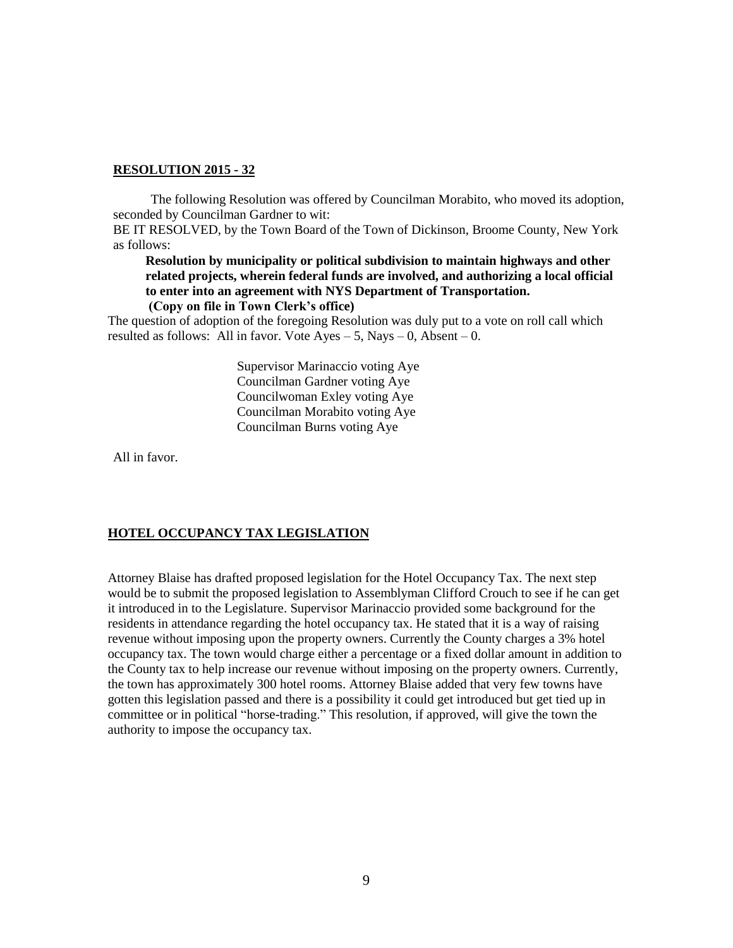The following Resolution was offered by Councilman Morabito, who moved its adoption, seconded by Councilman Gardner to wit:

BE IT RESOLVED, by the Town Board of the Town of Dickinson, Broome County, New York as follows:

**Resolution by municipality or political subdivision to maintain highways and other related projects, wherein federal funds are involved, and authorizing a local official to enter into an agreement with NYS Department of Transportation. (Copy on file in Town Clerk's office)**

The question of adoption of the foregoing Resolution was duly put to a vote on roll call which resulted as follows: All in favor. Vote Ayes  $-5$ , Nays  $-0$ , Absent  $-0$ .

> Supervisor Marinaccio voting Aye Councilman Gardner voting Aye Councilwoman Exley voting Aye Councilman Morabito voting Aye Councilman Burns voting Aye

All in favor.

# **HOTEL OCCUPANCY TAX LEGISLATION**

Attorney Blaise has drafted proposed legislation for the Hotel Occupancy Tax. The next step would be to submit the proposed legislation to Assemblyman Clifford Crouch to see if he can get it introduced in to the Legislature. Supervisor Marinaccio provided some background for the residents in attendance regarding the hotel occupancy tax. He stated that it is a way of raising revenue without imposing upon the property owners. Currently the County charges a 3% hotel occupancy tax. The town would charge either a percentage or a fixed dollar amount in addition to the County tax to help increase our revenue without imposing on the property owners. Currently, the town has approximately 300 hotel rooms. Attorney Blaise added that very few towns have gotten this legislation passed and there is a possibility it could get introduced but get tied up in committee or in political "horse-trading." This resolution, if approved, will give the town the authority to impose the occupancy tax.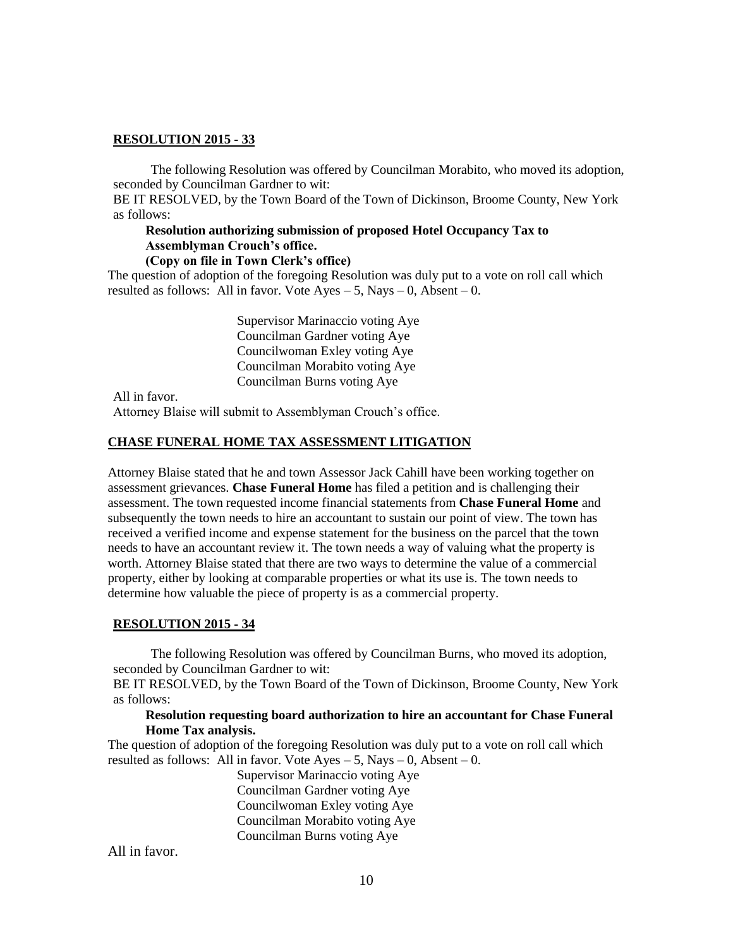The following Resolution was offered by Councilman Morabito, who moved its adoption, seconded by Councilman Gardner to wit:

BE IT RESOLVED, by the Town Board of the Town of Dickinson, Broome County, New York as follows:

# **Resolution authorizing submission of proposed Hotel Occupancy Tax to Assemblyman Crouch's office.**

# **(Copy on file in Town Clerk's office)**

The question of adoption of the foregoing Resolution was duly put to a vote on roll call which resulted as follows: All in favor. Vote  $Ayes - 5$ , Nays  $- 0$ , Absent  $- 0$ .

> Supervisor Marinaccio voting Aye Councilman Gardner voting Aye Councilwoman Exley voting Aye Councilman Morabito voting Aye Councilman Burns voting Aye

All in favor.

Attorney Blaise will submit to Assemblyman Crouch's office.

#### **CHASE FUNERAL HOME TAX ASSESSMENT LITIGATION**

Attorney Blaise stated that he and town Assessor Jack Cahill have been working together on assessment grievances. **Chase Funeral Home** has filed a petition and is challenging their assessment. The town requested income financial statements from **Chase Funeral Home** and subsequently the town needs to hire an accountant to sustain our point of view. The town has received a verified income and expense statement for the business on the parcel that the town needs to have an accountant review it. The town needs a way of valuing what the property is worth. Attorney Blaise stated that there are two ways to determine the value of a commercial property, either by looking at comparable properties or what its use is. The town needs to determine how valuable the piece of property is as a commercial property.

#### **RESOLUTION 2015 - 34**

The following Resolution was offered by Councilman Burns, who moved its adoption, seconded by Councilman Gardner to wit:

BE IT RESOLVED, by the Town Board of the Town of Dickinson, Broome County, New York as follows:

#### **Resolution requesting board authorization to hire an accountant for Chase Funeral Home Tax analysis.**

The question of adoption of the foregoing Resolution was duly put to a vote on roll call which resulted as follows: All in favor. Vote Ayes  $-5$ , Nays  $-0$ , Absent  $-0$ .

> Supervisor Marinaccio voting Aye Councilman Gardner voting Aye Councilwoman Exley voting Aye Councilman Morabito voting Aye Councilman Burns voting Aye

All in favor.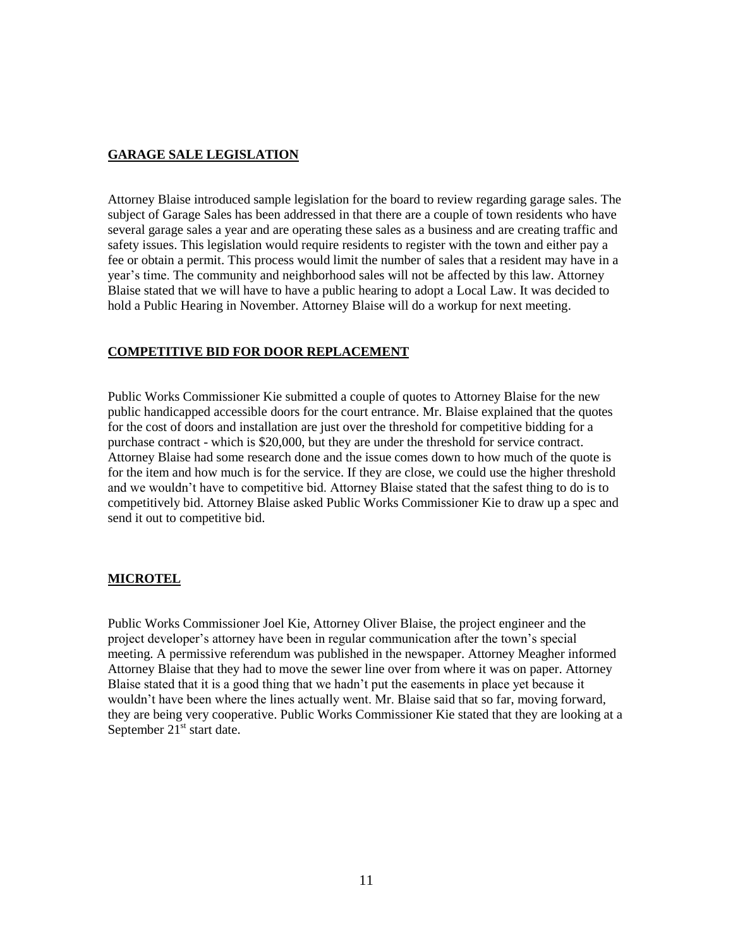# **GARAGE SALE LEGISLATION**

Attorney Blaise introduced sample legislation for the board to review regarding garage sales. The subject of Garage Sales has been addressed in that there are a couple of town residents who have several garage sales a year and are operating these sales as a business and are creating traffic and safety issues. This legislation would require residents to register with the town and either pay a fee or obtain a permit. This process would limit the number of sales that a resident may have in a year's time. The community and neighborhood sales will not be affected by this law. Attorney Blaise stated that we will have to have a public hearing to adopt a Local Law. It was decided to hold a Public Hearing in November. Attorney Blaise will do a workup for next meeting.

# **COMPETITIVE BID FOR DOOR REPLACEMENT**

Public Works Commissioner Kie submitted a couple of quotes to Attorney Blaise for the new public handicapped accessible doors for the court entrance. Mr. Blaise explained that the quotes for the cost of doors and installation are just over the threshold for competitive bidding for a purchase contract - which is \$20,000, but they are under the threshold for service contract. Attorney Blaise had some research done and the issue comes down to how much of the quote is for the item and how much is for the service. If they are close, we could use the higher threshold and we wouldn't have to competitive bid. Attorney Blaise stated that the safest thing to do is to competitively bid. Attorney Blaise asked Public Works Commissioner Kie to draw up a spec and send it out to competitive bid.

# **MICROTEL**

Public Works Commissioner Joel Kie, Attorney Oliver Blaise, the project engineer and the project developer's attorney have been in regular communication after the town's special meeting. A permissive referendum was published in the newspaper. Attorney Meagher informed Attorney Blaise that they had to move the sewer line over from where it was on paper. Attorney Blaise stated that it is a good thing that we hadn't put the easements in place yet because it wouldn't have been where the lines actually went. Mr. Blaise said that so far, moving forward, they are being very cooperative. Public Works Commissioner Kie stated that they are looking at a September  $21<sup>st</sup>$  start date.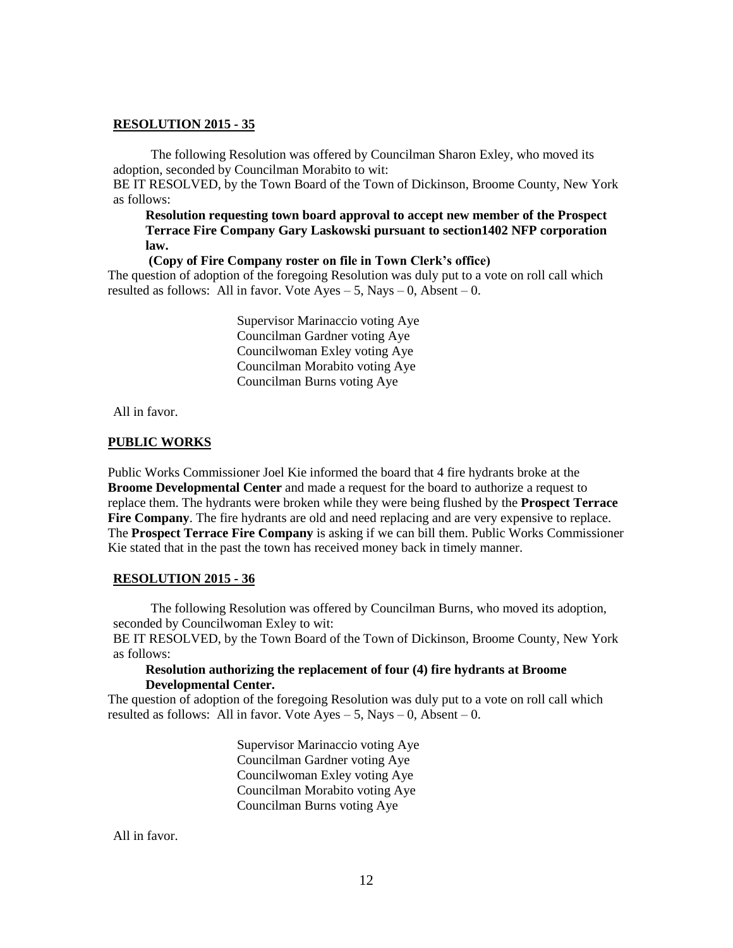The following Resolution was offered by Councilman Sharon Exley, who moved its adoption, seconded by Councilman Morabito to wit:

BE IT RESOLVED, by the Town Board of the Town of Dickinson, Broome County, New York as follows:

**Resolution requesting town board approval to accept new member of the Prospect Terrace Fire Company Gary Laskowski pursuant to section1402 NFP corporation law.**

**(Copy of Fire Company roster on file in Town Clerk's office)**

The question of adoption of the foregoing Resolution was duly put to a vote on roll call which resulted as follows: All in favor. Vote  $Ayes - 5$ , Nays  $- 0$ , Absent  $- 0$ .

> Supervisor Marinaccio voting Aye Councilman Gardner voting Aye Councilwoman Exley voting Aye Councilman Morabito voting Aye Councilman Burns voting Aye

All in favor.

#### **PUBLIC WORKS**

Public Works Commissioner Joel Kie informed the board that 4 fire hydrants broke at the **Broome Developmental Center** and made a request for the board to authorize a request to replace them. The hydrants were broken while they were being flushed by the **Prospect Terrace Fire Company**. The fire hydrants are old and need replacing and are very expensive to replace. The **Prospect Terrace Fire Company** is asking if we can bill them. Public Works Commissioner Kie stated that in the past the town has received money back in timely manner.

#### **RESOLUTION 2015 - 36**

The following Resolution was offered by Councilman Burns, who moved its adoption, seconded by Councilwoman Exley to wit:

BE IT RESOLVED, by the Town Board of the Town of Dickinson, Broome County, New York as follows:

### **Resolution authorizing the replacement of four (4) fire hydrants at Broome Developmental Center.**

The question of adoption of the foregoing Resolution was duly put to a vote on roll call which resulted as follows: All in favor. Vote  $Ayes - 5$ , Nays  $- 0$ , Absent  $- 0$ .

> Supervisor Marinaccio voting Aye Councilman Gardner voting Aye Councilwoman Exley voting Aye Councilman Morabito voting Aye Councilman Burns voting Aye

All in favor.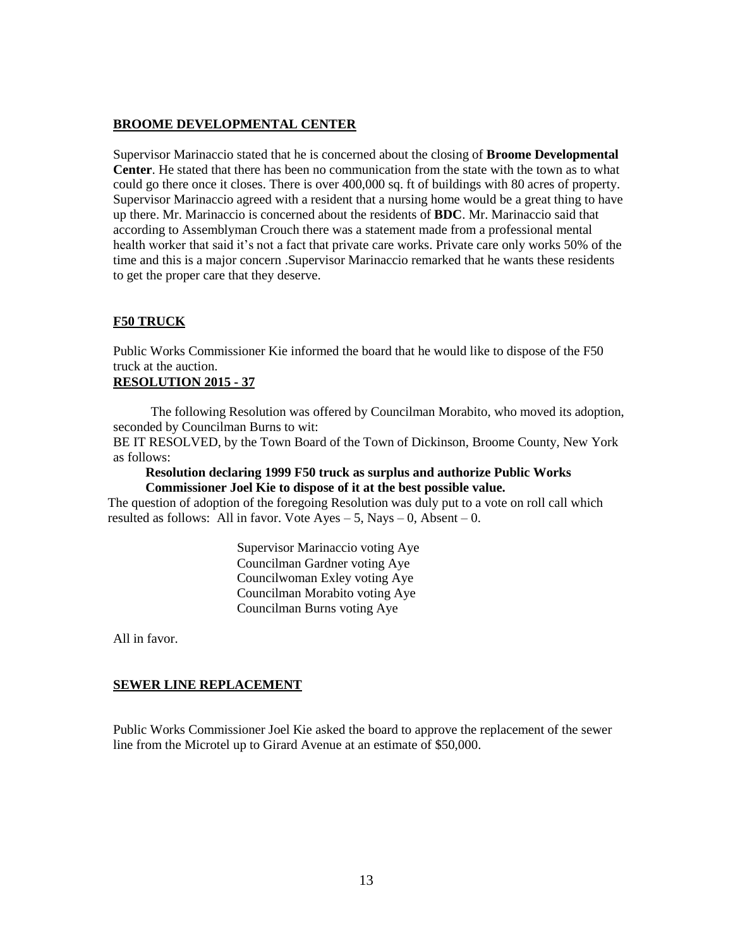## **BROOME DEVELOPMENTAL CENTER**

Supervisor Marinaccio stated that he is concerned about the closing of **Broome Developmental Center**. He stated that there has been no communication from the state with the town as to what could go there once it closes. There is over 400,000 sq. ft of buildings with 80 acres of property. Supervisor Marinaccio agreed with a resident that a nursing home would be a great thing to have up there. Mr. Marinaccio is concerned about the residents of **BDC**. Mr. Marinaccio said that according to Assemblyman Crouch there was a statement made from a professional mental health worker that said it's not a fact that private care works. Private care only works 50% of the time and this is a major concern .Supervisor Marinaccio remarked that he wants these residents to get the proper care that they deserve.

# **F50 TRUCK**

Public Works Commissioner Kie informed the board that he would like to dispose of the F50 truck at the auction.

# **RESOLUTION 2015 - 37**

The following Resolution was offered by Councilman Morabito, who moved its adoption, seconded by Councilman Burns to wit:

BE IT RESOLVED, by the Town Board of the Town of Dickinson, Broome County, New York as follows:

**Resolution declaring 1999 F50 truck as surplus and authorize Public Works Commissioner Joel Kie to dispose of it at the best possible value.**

The question of adoption of the foregoing Resolution was duly put to a vote on roll call which resulted as follows: All in favor. Vote  $Ayes - 5$ , Nays  $-0$ , Absent  $-0$ .

> Supervisor Marinaccio voting Aye Councilman Gardner voting Aye Councilwoman Exley voting Aye Councilman Morabito voting Aye Councilman Burns voting Aye

All in favor.

# **SEWER LINE REPLACEMENT**

Public Works Commissioner Joel Kie asked the board to approve the replacement of the sewer line from the Microtel up to Girard Avenue at an estimate of \$50,000.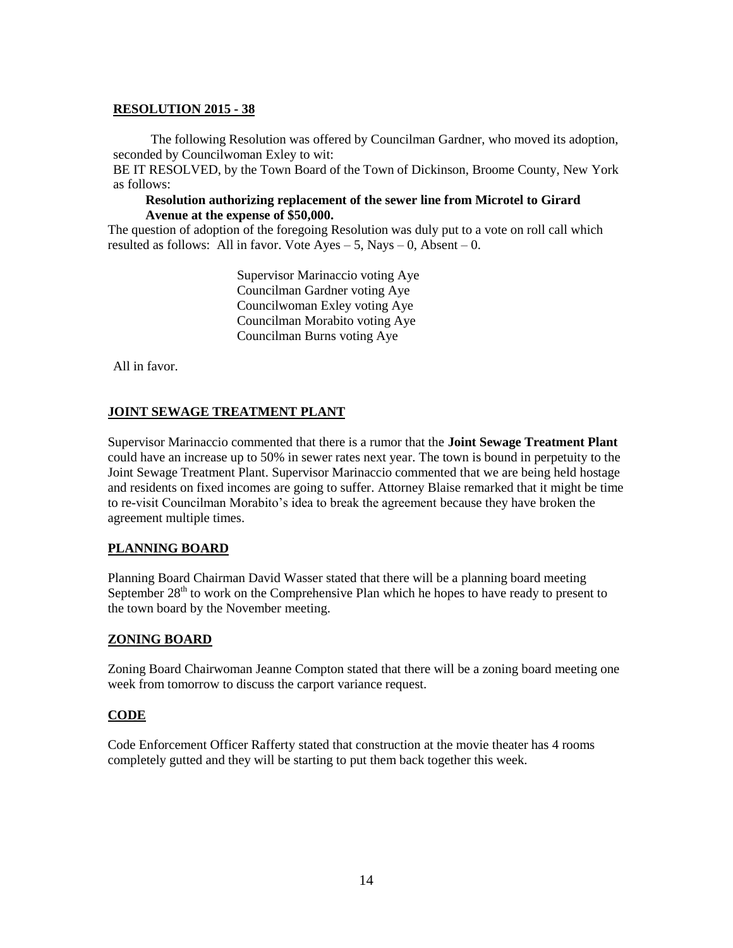The following Resolution was offered by Councilman Gardner, who moved its adoption, seconded by Councilwoman Exley to wit:

BE IT RESOLVED, by the Town Board of the Town of Dickinson, Broome County, New York as follows:

## **Resolution authorizing replacement of the sewer line from Microtel to Girard Avenue at the expense of \$50,000.**

The question of adoption of the foregoing Resolution was duly put to a vote on roll call which resulted as follows: All in favor. Vote  $Ayes - 5$ , Nays  $- 0$ , Absent  $- 0$ .

> Supervisor Marinaccio voting Aye Councilman Gardner voting Aye Councilwoman Exley voting Aye Councilman Morabito voting Aye Councilman Burns voting Aye

All in favor.

# **JOINT SEWAGE TREATMENT PLANT**

Supervisor Marinaccio commented that there is a rumor that the **Joint Sewage Treatment Plant** could have an increase up to 50% in sewer rates next year. The town is bound in perpetuity to the Joint Sewage Treatment Plant. Supervisor Marinaccio commented that we are being held hostage and residents on fixed incomes are going to suffer. Attorney Blaise remarked that it might be time to re-visit Councilman Morabito's idea to break the agreement because they have broken the agreement multiple times.

# **PLANNING BOARD**

Planning Board Chairman David Wasser stated that there will be a planning board meeting September  $28<sup>th</sup>$  to work on the Comprehensive Plan which he hopes to have ready to present to the town board by the November meeting.

# **ZONING BOARD**

Zoning Board Chairwoman Jeanne Compton stated that there will be a zoning board meeting one week from tomorrow to discuss the carport variance request.

# **CODE**

Code Enforcement Officer Rafferty stated that construction at the movie theater has 4 rooms completely gutted and they will be starting to put them back together this week.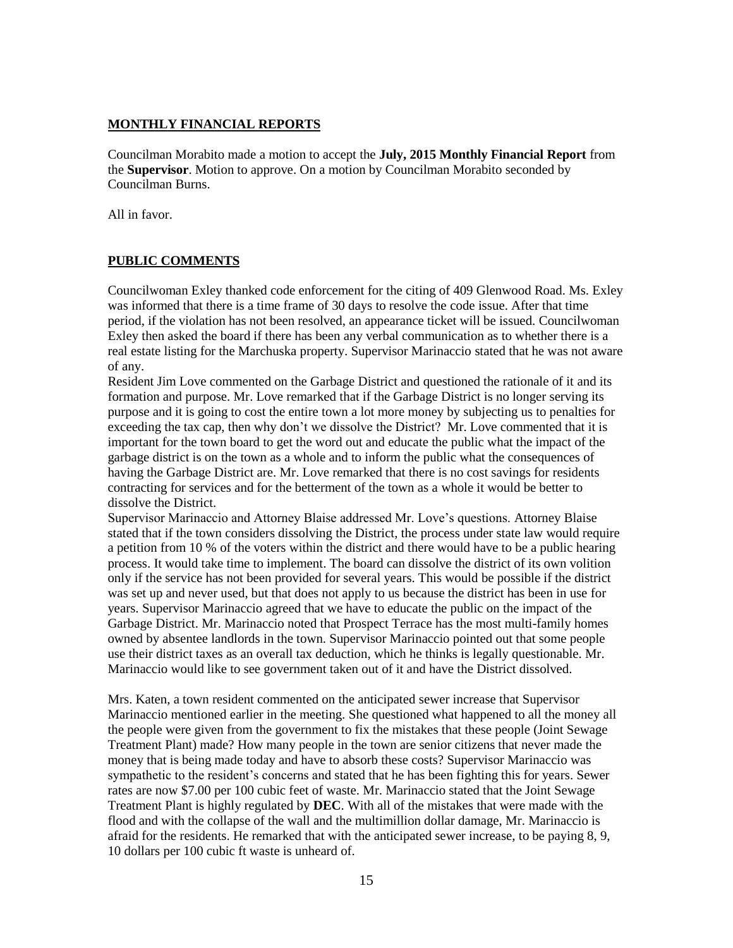# **MONTHLY FINANCIAL REPORTS**

Councilman Morabito made a motion to accept the **July, 2015 Monthly Financial Report** from the **Supervisor**. Motion to approve. On a motion by Councilman Morabito seconded by Councilman Burns.

All in favor.

# **PUBLIC COMMENTS**

Councilwoman Exley thanked code enforcement for the citing of 409 Glenwood Road. Ms. Exley was informed that there is a time frame of 30 days to resolve the code issue. After that time period, if the violation has not been resolved, an appearance ticket will be issued. Councilwoman Exley then asked the board if there has been any verbal communication as to whether there is a real estate listing for the Marchuska property. Supervisor Marinaccio stated that he was not aware of any.

Resident Jim Love commented on the Garbage District and questioned the rationale of it and its formation and purpose. Mr. Love remarked that if the Garbage District is no longer serving its purpose and it is going to cost the entire town a lot more money by subjecting us to penalties for exceeding the tax cap, then why don't we dissolve the District? Mr. Love commented that it is important for the town board to get the word out and educate the public what the impact of the garbage district is on the town as a whole and to inform the public what the consequences of having the Garbage District are. Mr. Love remarked that there is no cost savings for residents contracting for services and for the betterment of the town as a whole it would be better to dissolve the District.

Supervisor Marinaccio and Attorney Blaise addressed Mr. Love's questions. Attorney Blaise stated that if the town considers dissolving the District, the process under state law would require a petition from 10 % of the voters within the district and there would have to be a public hearing process. It would take time to implement. The board can dissolve the district of its own volition only if the service has not been provided for several years. This would be possible if the district was set up and never used, but that does not apply to us because the district has been in use for years. Supervisor Marinaccio agreed that we have to educate the public on the impact of the Garbage District. Mr. Marinaccio noted that Prospect Terrace has the most multi-family homes owned by absentee landlords in the town. Supervisor Marinaccio pointed out that some people use their district taxes as an overall tax deduction, which he thinks is legally questionable. Mr. Marinaccio would like to see government taken out of it and have the District dissolved.

Mrs. Katen, a town resident commented on the anticipated sewer increase that Supervisor Marinaccio mentioned earlier in the meeting. She questioned what happened to all the money all the people were given from the government to fix the mistakes that these people (Joint Sewage Treatment Plant) made? How many people in the town are senior citizens that never made the money that is being made today and have to absorb these costs? Supervisor Marinaccio was sympathetic to the resident's concerns and stated that he has been fighting this for years. Sewer rates are now \$7.00 per 100 cubic feet of waste. Mr. Marinaccio stated that the Joint Sewage Treatment Plant is highly regulated by **DEC**. With all of the mistakes that were made with the flood and with the collapse of the wall and the multimillion dollar damage, Mr. Marinaccio is afraid for the residents. He remarked that with the anticipated sewer increase, to be paying 8, 9, 10 dollars per 100 cubic ft waste is unheard of.